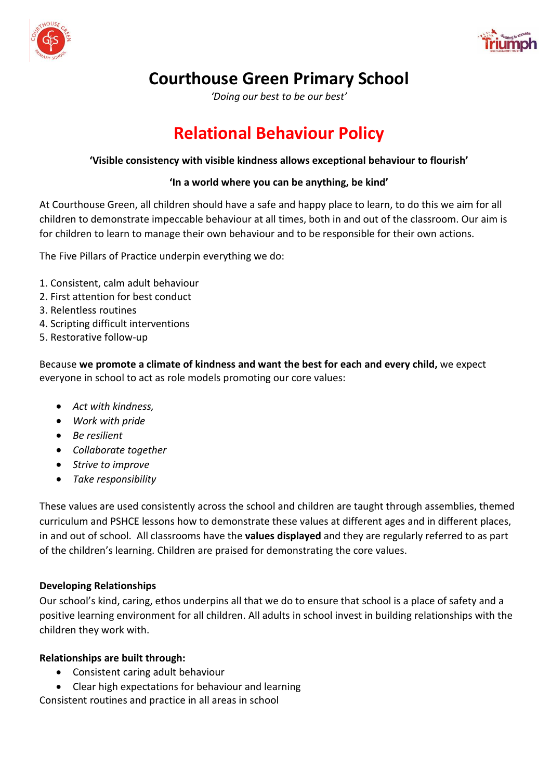



# **Courthouse Green Primary School**

*'Doing our best to be our best'*

# **Relational Behaviour Policy**

#### **'Visible consistency with visible kindness allows exceptional behaviour to flourish'**

#### **'In a world where you can be anything, be kind'**

At Courthouse Green, all children should have a safe and happy place to learn, to do this we aim for all children to demonstrate impeccable behaviour at all times, both in and out of the classroom. Our aim is for children to learn to manage their own behaviour and to be responsible for their own actions.

The Five Pillars of Practice underpin everything we do:

- 1. Consistent, calm adult behaviour
- 2. First attention for best conduct
- 3. Relentless routines
- 4. Scripting difficult interventions
- 5. Restorative follow-up

Because **we promote a climate of kindness and want the best for each and every child,** we expect everyone in school to act as role models promoting our core values:

- *Act with kindness,*
- *Work with pride*
- *Be resilient*
- *Collaborate together*
- *Strive to improve*
- *Take responsibility*

These values are used consistently across the school and children are taught through assemblies, themed curriculum and PSHCE lessons how to demonstrate these values at different ages and in different places, in and out of school. All classrooms have the **values displayed** and they are regularly referred to as part of the children's learning. Children are praised for demonstrating the core values.

#### **Developing Relationships**

Our school's kind, caring, ethos underpins all that we do to ensure that school is a place of safety and a positive learning environment for all children. All adults in school invest in building relationships with the children they work with.

#### **Relationships are built through:**

- Consistent caring adult behaviour
- Clear high expectations for behaviour and learning

Consistent routines and practice in all areas in school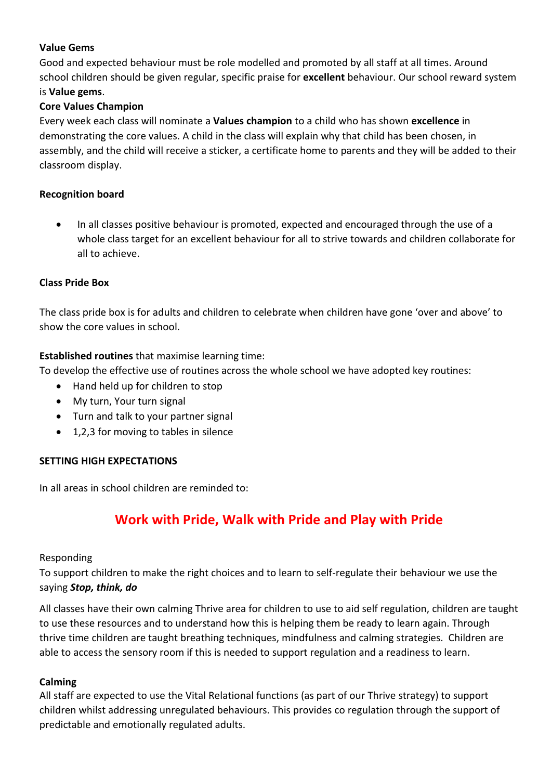# **Value Gems**

Good and expected behaviour must be role modelled and promoted by all staff at all times. Around school children should be given regular, specific praise for **excellent** behaviour. Our school reward system is **Value gems**.

# **Core Values Champion**

Every week each class will nominate a **Values champion** to a child who has shown **excellence** in demonstrating the core values. A child in the class will explain why that child has been chosen, in assembly, and the child will receive a sticker, a certificate home to parents and they will be added to their classroom display.

#### **Recognition board**

• In all classes positive behaviour is promoted, expected and encouraged through the use of a whole class target for an excellent behaviour for all to strive towards and children collaborate for all to achieve.

#### **Class Pride Box**

The class pride box is for adults and children to celebrate when children have gone 'over and above' to show the core values in school.

#### **Established routines** that maximise learning time:

To develop the effective use of routines across the whole school we have adopted key routines:

- Hand held up for children to stop
- My turn, Your turn signal
- Turn and talk to your partner signal
- 1,2,3 for moving to tables in silence

#### **SETTING HIGH EXPECTATIONS**

In all areas in school children are reminded to:

# **Work with Pride, Walk with Pride and Play with Pride**

#### Responding

To support children to make the right choices and to learn to self-regulate their behaviour we use the saying *Stop, think, do*

All classes have their own calming Thrive area for children to use to aid self regulation, children are taught to use these resources and to understand how this is helping them be ready to learn again. Through thrive time children are taught breathing techniques, mindfulness and calming strategies. Children are able to access the sensory room if this is needed to support regulation and a readiness to learn.

#### **Calming**

All staff are expected to use the Vital Relational functions (as part of our Thrive strategy) to support children whilst addressing unregulated behaviours. This provides co regulation through the support of predictable and emotionally regulated adults.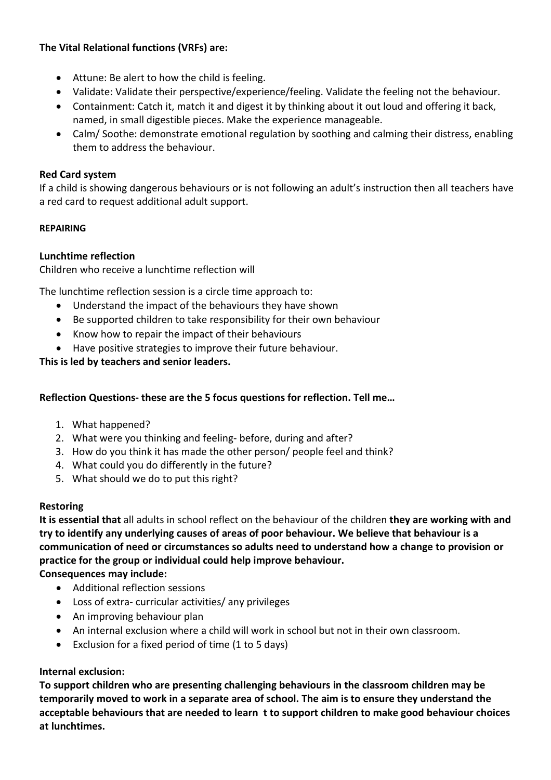# **The Vital Relational functions (VRFs) are:**

- Attune: Be alert to how the child is feeling.
- Validate: Validate their perspective/experience/feeling. Validate the feeling not the behaviour.
- Containment: Catch it, match it and digest it by thinking about it out loud and offering it back, named, in small digestible pieces. Make the experience manageable.
- Calm/ Soothe: demonstrate emotional regulation by soothing and calming their distress, enabling them to address the behaviour.

# **Red Card system**

If a child is showing dangerous behaviours or is not following an adult's instruction then all teachers have a red card to request additional adult support.

# **REPAIRING**

# **Lunchtime reflection**

Children who receive a lunchtime reflection will

The lunchtime reflection session is a circle time approach to:

- Understand the impact of the behaviours they have shown
- Be supported children to take responsibility for their own behaviour
- Know how to repair the impact of their behaviours
- Have positive strategies to improve their future behaviour.

**This is led by teachers and senior leaders.**

# **Reflection Questions- these are the 5 focus questions for reflection. Tell me…**

- 1. What happened?
- 2. What were you thinking and feeling- before, during and after?
- 3. How do you think it has made the other person/ people feel and think?
- 4. What could you do differently in the future?
- 5. What should we do to put this right?

#### **Restoring**

**It is essential that** all adults in school reflect on the behaviour of the children **they are working with and try to identify any underlying causes of areas of poor behaviour. We believe that behaviour is a communication of need or circumstances so adults need to understand how a change to provision or practice for the group or individual could help improve behaviour.**

**Consequences may include:**

- Additional reflection sessions
- Loss of extra- curricular activities/ any privileges
- An improving behaviour plan
- An internal exclusion where a child will work in school but not in their own classroom.
- Exclusion for a fixed period of time (1 to 5 days)

#### **Internal exclusion:**

**To support children who are presenting challenging behaviours in the classroom children may be temporarily moved to work in a separate area of school. The aim is to ensure they understand the acceptable behaviours that are needed to learn t to support children to make good behaviour choices at lunchtimes.**